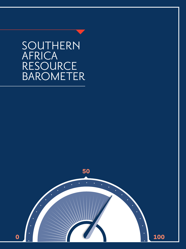SOUTHERN AFRICA **RESOURCE** BAROMETER

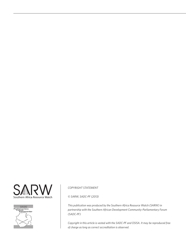



#### *COPYRIGHT STATEMENT*

*© SARW, SADC-PF (2013)*

*This publication was produced by the Southern Africa Resource Watch (SARW) in partnership with the Southern African Development Community-Parliamentary Forum (SADC-PF)*

*Copyright in this article is vested with the SADC-PF and OSISA. It may be reproduced free of charge as long as correct accreditation is observed.*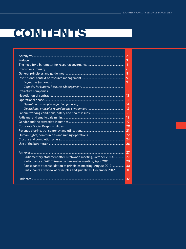# **CONTENTS**

|                                                                    | -2             |
|--------------------------------------------------------------------|----------------|
|                                                                    | $\overline{3}$ |
|                                                                    | $\overline{4}$ |
|                                                                    |                |
|                                                                    |                |
|                                                                    |                |
|                                                                    |                |
|                                                                    |                |
|                                                                    |                |
|                                                                    | 13             |
|                                                                    | 14             |
|                                                                    |                |
|                                                                    |                |
|                                                                    | <sup>16</sup>  |
|                                                                    | <b>18</b>      |
|                                                                    | $\overline{1}$ |
|                                                                    |                |
|                                                                    |                |
|                                                                    |                |
|                                                                    | -24            |
|                                                                    | 26             |
|                                                                    |                |
|                                                                    | 27             |
| Parliamentary statement after Birchwood meeting, October 2010      | 27             |
| Participants at SADC Resource Barometer meeting, April 2011        | 29             |
| Participants at consolidation of principles meeting, August 2012   | 30             |
| Participants at review of principles and guidelines, December 2012 | 31             |
|                                                                    |                |
|                                                                    | 32             |
|                                                                    |                |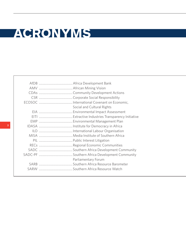# **ACRONYMS**

| Social and Cultural Rights |
|----------------------------|
|                            |
|                            |
|                            |
|                            |
|                            |
|                            |
|                            |
|                            |
|                            |
|                            |
| Parliamentary Forum        |
|                            |
|                            |
|                            |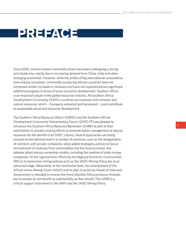## **PREFACE**

Since 2000, oil and mineral commodity prices have been undergoing a strong and steady rise, mainly due to increasing demand from China, India and other emerging economies. However, while the profits of big international corporations have sharply increased,**<sup>1</sup>** commodity-producing African countries have not witnessed similar increases in revenues and have not experienced any significant additional progress in terms of socio-economic development. Southern Africa is an important player in the global resources industry. All Southern Africa Development Community (SADC) countries are endowed with minerals and natural resources, which – if properly extracted and harnessed – could contribute to sustainable social and economic development.

The Southern Africa Resource Watch (SARW) and the Southern African Development Community-Parliamentary Forum (SADC-PF) are pleased to introduce the Southern Africa Resource Barometer (SARB) as part of their contribution to already existing efforts to promote better management of natural resources for the benefit of all SADC citizens. Several approaches are being pursued at the national level in a number of countries, such as the renegotiation of contracts with private companies, value added strategies, policies to favour reinvestment of revenues from commodities into the local economy, and debates about various ownership models, including the creation of state mining companies. At the regional level, efforts by the Regional Economic Communities (RECs) to harmonise mining policies such as the SADC Mining Policy are at an advanced stage. Meanwhile, at the continental level, the endorsement of the African Union Mining Vision (AMV) and its plan of action by Heads of State and Government is intended to reverse the trend whereby Africa produces minerals but its people do not benefit as substantially as they should. This SARB is a critical support instrument to the AMV and the SADC Mining Policy.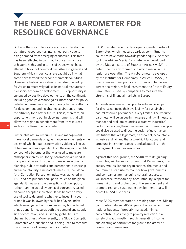### **THE NEED FOR A BAROMETER FOR RESOURCE GOVERNANCE**

Globally, the scramble for access to, and development of, natural resources has intensified, partly due to rising demand from emerging economies. This trend has been reflected in commodity prices, which are at historic highs, and in terms of trade, which have altered in favour of commodities. Africa in general and Southern Africa in particular are caught up in what some have termed the second 'Scramble for Africa'. However, a historic opportunity has also opened up for Africa to effectively utilise its natural resources to fuel socio-economic development. This opportunity is enhanced by positive developments on the continent, including good governance gains, more space for policy debate, increased interest in exploring better platforms for development and heightened aspirations among the citizenry for a better future. This is, therefore, an opportune time to put in place instruments that will allow the region to benefit more from its resources – such as this Resource Barometer.

Sustainable natural resource use and management make novel demands on governance arrangements – the design of which requires normative guidance. The use of barometers has expanded from the original scientific concept of a barometer that was used to measure atmospheric pressure. Today, barometers are used in many social research projects to measure economic planning, public attitudes and perceptions, ownership and accountability. One notable measure, the Global Anti-Corruption Perception Index, was launched in 1995 and has put anti-corruption issues on the global agenda. It measures the perceptions of corruption, rather than the actual evidence of corruption, based on some accepted indicators. It has become a very useful tool to determine whether to invest in a country or not. It was followed by the Bribes Payers Index, which investigates how companies pay bribes to get things done. It measures both the demand and supply side of corruption, and is used by global firms to channel business. More recently, the Global Corruption Barometer was launched and is being used to measure the experience of corruption in a country.

SADC has also recently developed a Gender Protocol Barometer, which measures various commitments countries have made towards gender equity. Another tool, the African Media Barometer, was developed by the Media Institute of Southern Africa (MISA) to determine the environments in which media in the region are operating. The Afrobarometer, developed by the Institute for Democracy in Africa (IDASA), is used in researching political attitudes and behaviour across the region. A final instrument, the Private Equity Barometer, is used by companies to measure the strengths of financial markets in Europe.

Although governance principles have been developed for diverse contexts, their availability for sustainable natural resource governance is very limited. The resource barometer will be unique in the sense that it will measure, monitor and evaluate countries' extractive industries' performance along the entire value chain. These principles could also be used to direct the design of governance institutions that are legitimate, transparent, accountable, inclusive and fair and that also exhibit functional and structural integration, capacity and adaptability in the management of natural resources.

Against this background, the SARB, with its guiding principles, will be an instrument that Parliaments, civil society groups, labour organisations, the media and communities can use to monitor how governments and companies are managing natural resources. It will increase transparency, accountability, respect for human rights and protection of the environment and promote real and sustainable development that will benefit all SADC citizens.

Most SADC member states are mining countries. Mining contributes between 40-90 percent of some countries' national budgets. If properly managed, mining can contribute positively to poverty reduction in a variety of ways, mostly through generating income and creating opportunities for growth for lateral or downstream businesses.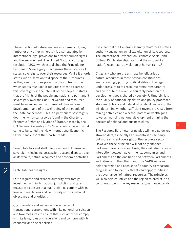The extraction of natural resources – namely oil, gas, timber or any other minerals – is also regulated by international legal provisions to protect human rights and the environment. The United Nations – through resolution 1803, which established the Principle for Permanent Sovereignty – recognises the existence of states' sovereignty over their resources. While it affords states wide discretion to dispose of their resources as they see fit, it does prescribe the context within which states must act. It requires states to exercise this sovereignty in the interest of the people. It states that the 'rights of the people and nations to permanent sovereignty over their natural wealth and resources must be exercised in the interest of their national development and of the well-being of the people of the State concerned'.**<sup>2</sup>** This is a permanent sovereignty doctrine, which can also be found in the Charter of Economic Rights and Duties of States, passed by the UN General Assembly in 1974 as a centrepiece of what came to be called the 'New International Economic Order'.**<sup>3</sup>** Article 2 of the Charter reads:

Every State has and shall freely exercise full permanent sovereignty, including possession, use and disposal, over all its wealth, natural resources and economic activities.

Each State has the rights:

1

2

**(a)** to regulate and exercise authority over foreign investment within its national jurisdiction and take measures to ensure that such activities comply with its laws and regulations and conformity with its national objectives and priorities…

**(b)** to regulate and supervise the activities of transnational corporations within its national jurisdiction and take measures to ensure that such activities comply with its laws, rules and regulations and conform with its economic and social policies.

It is clear that the General Assembly reinforces a state's authority against unlawful exploitation of its resources. The International Covenant on Economic, Social, and Cultural Rights also stipulates that the misuse of a nation's resources is a violation of human rights.**<sup>4</sup>**

Citizens – who are the ultimate beneficiaries of natural resources in most African constitutions – are increasingly putting political elites in the region under pressure to tax resource rents transparently and distribute the revenue equitably based on the development goals shared by society. Ultimately, it is the quality of national legislative and policy processes, state institutions and individual political leadership that will determine whether sufficient revenue is raised from mining activities and whether potential wealth goes towards financing national development or lining the pockets of political and business elites.

The Resource Barometer principles will help guide key stakeholders, especially Parliamentarians, to carry out more efficient oversight of the resource sector. However, these principles will not only enhance Parliamentarians' oversight role, they will also increase interaction between governments, companies and Parliaments on the one hand and between Parliaments and citizens on the other hand. The SARB will also help the region and each specific country to measure progress, and to identify threats and opportunities in the governance **5** of natural resources. The principles will also help countries and the region to predict, on a continuous basis, the key resource governance trends.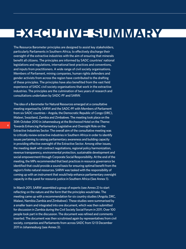# **EXECUTIVE SUMMARY**

The Resource Barometer principles are designed to assist key stakeholders, particularly Parliaments in Southern Africa, to effectively discharge their oversight of the extractive industries with the aim of ensuring that minerals benefit all citizens. The principles are informed by SADC countries' national legislations and regulations, international best practices and conventions, and inputs from practitioners. A wide range of civil society organisations, Members of Parliament, mining companies, human rights defenders and gender activists from across the region have contributed to the drafting of these principles. The principles have also benefited from the vast field experience of SADC civil society organisations that work in the extractive industries. The principles are the culmination of two years of research and consultations undertaken by SADC-PF and SARW.

The idea of a Barometer for Natural Resources emerged at a consultative meeting organised by SARW and the SADC-PF with Members of Parliament from six SADC countries – Angola, the Democratic Republic of Congo (DRC), Malawi, Swaziland, Zambia and Zimbabwe. The meeting took place on the 30th October 2010 in Johannesburg at the Birchwood Hotel on the Theme: Towards Enhancing Parliamentary Legislative and Oversight Role on the Extractive Industries Sector. The overall aim of the consultative meeting was to critically review extractive industries in Southern Africa in order to identify issues pertaining to raising parliamentary awareness and building capacity in providing effective oversight of the Extractive Sector. Among other issues, the meeting dealt with contract negotiations, regional policy harmonization, revenue transparency, environmental protection, sustainable development and social empowerment through Corporate Social Responsibility. At the end of the meeting, the MPs recommended that best practices in resource governance be identified that could provide a sound basis for ensuring optimal benefit from the region's finite natural resources. SARW was tasked with the responsibility of coming up with an instrument that would help enhance parliamentary oversight capacity in the quest for resource justice in Southern Africa (See Annex 1).

In March 2011, SARW assembled a group of experts (see Annex 2) to start reflecting on the nature and the form that the principles would take. The meeting came up with a recommendation for six country studies (Angola, DRC, Malawi, Namibia Zambia and Zimbabwe). These studies were summarised by a smaller team and integrated into one document, which was then submitted for discussion in Zambia during the Civil Society Social Forum in 2011. Over 100 people took part in the discussion. The document was refined and comments inserted. The document was then scrutinised again by representatives from civil society, companies and Parliaments from across SADC from 12-13 December 2011 in Johannesburg (see Annex 3).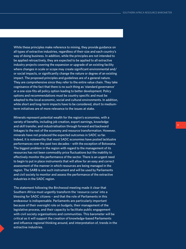While these principles make reference to mining, they provide guidance on all types of extractive industries, regardless of their size and each country's way of doing business. In addition, while the principles are not intended to be applied retroactively, they are expected to be applied to all extractive industry projects covering the expansion or upgrade of an existing facility where changes in scale or scope may create significant environmental and/ or social impacts, or significantly change the nature or degree of an existing impact. The proposed principles and guidelines are of a general nature. They are comprehensive since they refer to the entire value chain. They take cognisance of the fact that there is no such thing as 'standard governance' or a one-size-fits-all policy option leading to better development. Policy options and recommendations must be country specific and must be adapted to the local economic, social and cultural environments. In addition, while short and long-term impacts have to be considered, short to mediumterm initiatives are of more relevance to the issues at stake.

Minerals represent potential wealth for the region's economies, with a variety of benefits, including job creation, export earnings, knowledge and skill transfer, and industrialisation through forward and backward linkages to the rest of the economy and resource transformation. However, minerals have not produced the expected outcomes in SADC so far. Indeed, it is noteworthy that most SADC economies have posted lacklustre performances over the past two decades – with the exception of Botswana. The biggest problem in the region with regard to the management of its resources has not been commodity price fluctuations but the inability to effectively monitor the performance of the sector. There is an urgent need to begin to put in place instruments that will allow for an easy and correct assessment of the manner in which resources are being managed in the region. The SARB is one such instrument and will be used by Parliaments and civil society to monitor and assess the performance of the extractive industries in the SADC region.

The statement following the Birchwood meeting made it clear that Southern Africa must urgently transform the 'resource curse' into a blessing for SADC citizens – and that the role of Parliaments in this endeavour is indispensable. Parliaments are particularly important because of their oversight role on budgets, their management of the legislative process, and their capacity to facilitate public engagement with civil society organisations and communities. This barometer will be critical as it will support the creation of knowledge-based Parliaments and influence regional thinking around, and interpretation of, trends in the extractive industries.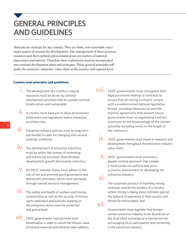### **GENERAL PRINCIPLES AND GUIDELINES**

Minerals are strategic for any country. They are finite, non-renewable and a major source of revenue for development. The management of these precious resources and their optimal and economical use are matters of national importance and interest. Therefore their exploitation must be incorporated into national development plans and strategies. These general principles will guide the extractive industries' value chain at the country and regional level.

#### **Country level principles and guidelines**

- $\int$ . The development of a country's natural resources must be driven by national development priorities that are people-centred, locally-driven and sustainable;
- $\overline{\mathsf{II}}$ . A country must have put in place all necessary institutions and regulations before extraction activities start;
- iii. Extractive industry policies must be long-term but flexible to cater for changing internal and external conditions;
- $\dot{V}$ . The development of extractive industries must be within the context of promoting and enhancing economic diversification, development, growth and poverty reduction;
- $V$ . All SADC member states must adhere to the rule of law and promote good governance and democratic principles, which must permeate through natural resource management;
- $\overline{\text{VI}}$ . The safety and health of workers and mining communities as well as the security of human rights defenders and activists working on the extractive sector must be protected and guaranteed;
- $\overrightarrow{VII}$ . SADC governments must promote local beneficiation in order to unlock the intrinsic value of mineral resources and enhance value addition;
- viii. SADC governments must strengthen their legal provisions relating to contracts to ensure that all mining contracts comply with a predetermined national legislative format, including measures to override stability agreements that prevent future governments from re-negotiating contract provisions to the disadvantage of the citizens (possibly including limits on the length of the contracts);
	- iX. SADC governments must invest in research and development throughout the extractive industry value chain;
	- x. SADC governments must promote a people-centred approach that creates a more conducive political and socioeconomic environment for developing the extractive industry;
	- xi.

The corporate practice of hoarding mining revenues outside the borders of a country where mining is taking place militates against the balance of payments of that country and should be discouraged; and

xii.

Governments must legislate that foreignowned extractive industry firms should list on the local stock exchange as a mechanism for encouraging local participation and ownership in the extractive industry.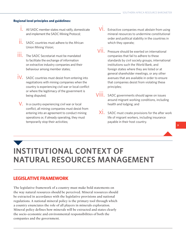#### **Regional level principles and guidelines:**

- i. All SADC member states must ratify, domesticate and implement the SADC Mining Protocol;
- $\prod_{n=1}^{10}$  SADC countries must adhere to the African Union Mining Vision;
- ...<br> **iii**. The SADC Secretariat must be mandated to facilitate the exchange of information on extractive industry companies and their behaviour among member states;
- iV. SADC countries must desist from entering into negotiations with mining companies when the country is experiencing civil war or local conflict or where the legitimacy of the government is being disputed;
- $V$ . In a country experiencing civil war or local conflict, all mining companies must desist from entering into an agreement to conduct mining operations or, if already operating, they must temporarily stop their activities;
- $\overline{\text{V}}$ . Extractive companies must abstain from using mineral resources to undermine constitutional order and political stability in the countries in which they operate;
- $\overrightarrow{VII}$ . Pressure should be exerted on international companies that fail to adhere to these standards by civil society groups, international institutions such the World Bank, and foreign states where they are listed or at general shareholder meetings, or any other avenues that are available in order to ensure that companies desist from violating these principles;
- viii. SADC governments should agree on issues around migrant working conditions, including health and lodging; and
	- $\overline{X}_1$ . SADC must create provisions for the after work life of migrant workers, including insurance payable in their host country.

### **INSTITUTIONAL CONTEXT OF NATURAL RESOURCES MANAGEMENT**

#### **LEGISLATIVE FRAMEWORK**

The legislative framework of a country must make bold statements on the way natural resources should be perceived. Mineral resources should be extracted in accordance with the legislative provisions and national regulations. A national mineral policy is the primary tool through which a country enunciates the role of all players in minerals exploration. Mineral policy defines how minerals will be extracted and states clearly the socio-economic and environmental responsibilities of both the companies and the government.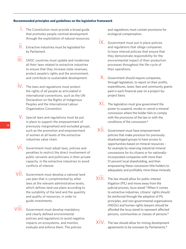#### **Recommended principles and guidelines on the legislative framework**

- i. The Constitution must provide a broad guide that promotes people-centred development through the exploitation of natural resources.
- $\prod_{n=1}^{11}$  Extractive industries must be legislated for by Parliament.
- ....<br>**III.** SADC countries must update and modernise all their laws related to extractive industries to ensure that they increase state revenues, protect people's rights and the environment, and contribute to sustainable development.
- iv. The laws and regulations must protect the rights of all people as articulated in international conventions, such as the UN Declaration on the Rights of Indigenous Peoples and the International Labour Organisation Convention.
- $V$ . Special laws and regulations must be put in place to support the empowerment of previously marginalised and excluded groups, such as the promotion and empowerment of women at all levels of the extractive industries value chain.
- $\overline{\text{Vi}}$ . Government must adopt laws, policies and penalties to restrict the direct involvement of public servants and politicians in their private capacity, in the extractive industries to avoid conflicts of interest.
- $\overline{\text{V}}\text{ii}$ . Government must develop a national land use plan that is complimented by other laws at the relevant administrative levels, which defines land use plans according to the suitability of the land and the quantity and quality of resources, in order to guide investments.
- viii. Government must develop mandatory and clearly defined environmental policies and regulations to avoid negative impacts on ecosystems, and monitor, evaluate and enforce them. The policies

and regulations must contain provisions for ecological compensation.

- ix. Government must put in place policies and regulations that oblige companies to have internal policies that ensure that they demonstrate responsibility for the environmental impact of their production processes throughout the life-cycle of their operations.
- x. Government should require companies, through legislation, to report on their profits, expenditures, taxes, fees and community grants paid in each financial year on a project-byproject basis.
- $\overrightarrow{XI}$ . The legislation must give government the power to suspend, revoke or cancel a mineral concession where the holder fails to comply with the provisions of the law or with the conditions of the concession.**<sup>6</sup>**
- xii. Government must have empowerment policies that make provision for previously disadvantaged groups to have access to opportunities based on mineral resources – for example by reserving industrial mineral concessions for its citizens or for nationallyincorporated companies with more than 51 percent local shareholding, and then empowering these concession title holders to adequately and profitably mine these minerals.
- xiii. The law should allow for public interest litigation (PIL) and move away from the judicial process, *locus standi.***7** When it comes to extractive industries, citizens' rights should be reinforced through the adoption of PIL principles, and non-governmental organisations (NGOs) and human rights lawyers should be afforded the *locus standi* to represent affected persons, communities or classes of persons.**<sup>8</sup>**
- $XIV.$  The law should allow for mining development agreements to be overseen by Parliaments.**<sup>9</sup>**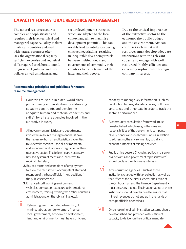#### **CAPACITY FOR NATURAL RESOURCE MANAGEMENT**

The natural resource sector is complex and sophisticated and requires high-level technical and managerial capacity. Policy-makers in African countries endowed with natural resources often lack the organisational capacity, sufficient expertise and analytical skills required to elaborate sound, progressive, legislative and fiscal policies as well as industrial and

sector development strategies, which are adapted to the local context and aim to maximise development potential. This can notably lead to imbalances during contract negotiations, resulting in inequitable deals being struck between multinationals and governments of commodity-rich countries to the detriment of the latter and their people.

Due to the critical importance of the extractive sector to the economy, the public budget and the environment, African countries rich in natural resources must develop adequate institutions with the relevant capacity to engage with well resourced, highly-efficient and extremely sophisticated foreign company interests.

#### **Recommended principles and guidelines for natural resource management**

- i. Countries must put in place 'world class' public mining administration by addressing capacity constraints and developing adequate human and material capacities and skills**10** for all state agencies involved in the extractive industry.
- ...<br>| | , All government ministries and departments involved in resource management must have the necessary human and logistical capacities to undertake technical, social, environmental and economic evaluation and regulation of their respective sector. The following are necessary:
	- **1.** Revised system of merits and incentives to retain skilled staff;
	- **2.** Revised terms and conditions of employment to allow the recruitment of competent staff and retention of the best officials in key positions in the public service; and
	- **3.** Enhanced staff working environment (vehicles, computers, exposure to international environment, training, twining with other countries administrations, on the job training, etc.).
- iii. Relevant government departments (oil, mining, labour, gender/women, finance, local government, economic development, land and environment) must have sufficient

capacity to manage key information, such as production figures, statistics, sales, pollution, land, taxes and other data in order to track the sector's performance.

- iv. A community consultation framework must be established, which assigns the roles and responsibilities of the government, company, NGOs, donors and local communities in relation to addressing the environmental, social and economic impacts of mining activities.
- $V$ . Public office bearers (including politicians, senior civil servants and government representatives) should declare their business interests.
- $Vi$ . Anti-corruption agencies such as those institutions charged with tax collection as well as the Office of the Auditor General, the Office of the Ombudsman and the Finance Department – must be strengthened. The independence of these institutions should be enhanced to ensure that mineral revenues do not end up in the hands of corrupt officials or criminals.
- $\overline{\text{V}}\text{ii}$ . One-stop mineral administration systems should be established and provided with sufficient capacity to deliver on their critical mandate.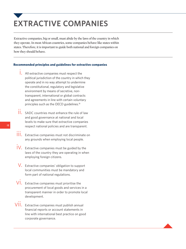# **EXTRACTIVE COMPANIES**

Extractive companies, big or small, must abide by the laws of the country in which they operate. In most African countries, some companies behave like states within states. Therefore, it is important to guide both national and foreign companies on how they should behave.

#### **Recommended principles and guidelines for extractive companies**

- i. All extractive companies must respect the political jurisdiction of the country in which they operate and in no way attempt to undermine the constitutional, regulatory and legislative environment by means of secretive, nontransparent, international or global contracts and agreements in line with certain voluntary principles such as the OECD guidelines.**<sup>11</sup>**
- $\overline{\mathsf{II}}$ . SADC countries must enhance the rule of law and good governance at national and local levels to make sure that extractive companies respect national policies and are transparent.
- ....<br>III. Extractive companies must not discriminate on any grounds when employing local people.
- $\frac{1}{1}V$ . Extractive companies must be guided by the laws of the country they are operating in when employing foreign citizens.
- $V$ . Extractive companies' obligation to support local communities must be mandatory and form part of national regulations.
- $\overline{\text{V}}$  Extractive companies must prioritise the procurement of local goods and services in a transparent manner in order to promote local development.
- $\overline{\text{VII}}$ . Extractive companies must publish annual financial reports or account statements in line with international best practice on good corporate governance.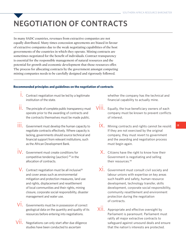# **NEGOTIATION OF CONTRACTS**

In many SADC countries, revenues from extractive companies are not equally distributed. Many times concession agreements are biased in favour of extractive companies due to the weak negotiating capabilities of the host governments of the countries in which they operate. Mining contracts are sometimes negotiated for the benefit of individuals. Contract transparency is essential for the responsible management of natural resources and the potential for growth and economic development that those resources offer. The process for allocating contracts by the government amongst competing mining companies needs to be carefully designed and rigorously followed.

#### **Recommended principles and guidelines on the negotiation of contracts**

- $\frac{1}{1}$ . Contract negotiation must be led by a legitimate institution of the state.
- $\prod_{n=1}^{n}$  The principle of complete public transparency must operate prior to the awarding of contracts and the contracts themselves must be made public.
- ....<br>III. Government must develop the human capacity to negotiate contracts effectively. Where capacity is lacking, governments should source technical and financial support from relevant institutions, such as the African Development Bank.
- iv. Government must create conditions for competitive tendering (auction) **12** in the allocation of contracts.
- V. Contract negotiation must be all inclusive<sup>13</sup> and cover areas such as environmental mitigation and protection measures, land use and rights, displacement and resettlement of local communities and their rights, mining closure, corporate social responsibility, disaster management and water use.
- $\overline{\text{Vi}}$ . Governments must be in possession of correct geological data on the quantity and quality of its resources before entering into negotiations.
- $\overline{\text{V}}\dot{\text{II}}$ . Negotiations can only start after due diligence studies have been conducted to ascertain

whether the company has the technical and financial capability to actually mine.

- Equally, the true beneficiary owners of each company must be known to prevent conflicts of interest. viii.
	- $\overline{\mathsf{i}}$ X. Mining contracts and rights cannot be resold. If they are not exercised by the original company, they must revert to government and the awarding and negotiation process must begin again.
	- $X$ . Citizens have the right to know how their Government is negotiating and selling their resources.**<sup>14</sup>**
	- $\overline{\text{Xi}}$ . Government must consult civil society and labour unions with expertise on key areas such health and safety, human resource development, technology transfer, skills development, corporate social responsibility, community resettlement and environment protection during the negotiation of contracts.
- $XIII.$  Appropriate and effective oversight by Parliament is paramount. Parliament must ratify all major extractive contracts to safeguard against unsound deals and ensure that the nation's interests are protected.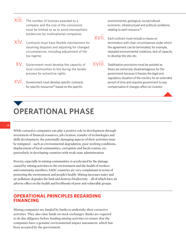- $\overline{X}$  $\overline{III}$ . The number of licenses awarded to a company and the size of the concession must be limited so as to avoid monopolistic tendencies by multinational companies.
- $XIV.$  Contracts must have flexible mechanisms for resolving disputes and adjusting for changed circumstances, including adjustment of the tax regime.
- $XV$ . Government must develop the capacity of local communities to bid during the tender process for extractive rights.
- $XV\dot{\mathbf{l}}$ . Government must develop specific contracts for specific resources**15** based on the specific

environmental, geological, social/cultural, economic, infrastructural and political conditions relating to each resource.**<sup>16</sup>**

 $XViii.$  Each contract must include a clause on termination with clear circumstances under which the agreement can be terminated, for example, repeated environmental violations, lack of capacity to develop the site, etc.

 $XVIII$ . Stabilisation provisions must be avoided as these are extremely disadvantageous for the government because it freezes the legal and regulatory situation of the country for an extended period of time and requires government to pay compensation if changes affect an investor.

## **OPERATIONAL PHASE**

While extractive companies can play a positive role in development through investment of financial resources, job creation, transfer of technologies and skills development, the potentially damaging aspects of their activities must be mitigated – such as environmental degradation, poor working conditions, displacement of local communities, corruption and fiscal evasion, etc. particularly in developing countries with weak state administration.

Poverty, especially in mining communities, is accelerated by the damage caused by mining activities to the environment and the health of workers and community members. SADC countries are very complaisant in terms of protecting the environment and people's health. Mining increases water and air pollution, degrades the land and destroys biodiversity – all of which have an adverse effect on the health and livelihoods of poor and vulnerable groups.

#### **OPERATIONAL PRINCIPLES REGARDING FINANCING**

Mining companies are funded by banks to undertake their extractive activities. They also raise funds on stock exchanges. Banks are required to do due diligence before funding mining activities to ensure that the companies have a genuine environmental impact assessment, which has been accepted by the government.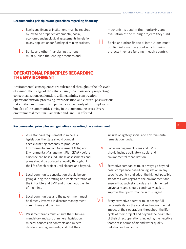#### **Recommended principles and guidelines regarding financing**

- i. Banks and financial institutions must be required by law to do proper environmental, social, economic and geological assessments in relation to any application for funding of mining projects.
- $\prod_{n=1}^{n}$  Banks and other financial institutions must publish the lending practices and

mechanisms used in the monitoring and evaluation of the mining projects they fund.

....<br>**III.** Banks and other financial institutions must publish information about which mining projects they are funding in each country.

#### **OPERATIONAL PRINCIPLES REGARDING THE ENVIRONMENT**

Environmental consequences are substantial throughout the life-cycle of a mine. Each stage of the value chain (reconnaissance, prospecting, conceptualisation, exploration, drilling, mining construction, operationalization, processing, transportation and closure) poses serious risks to the environment and public health not only of the employees but also of the communities living in the surrounding areas. Every environmental medium – air, water and land – is affected.

#### **Recommended principles and guidelines regarding the environment 15**

- i. As a standard requirement in minerals legislation, the state should compel each extracting company to produce an Environmental Impact Assessment (EIA) and Environmental Management Plan (EMP) before a licence can be issued. These assessments and plans should be updated annually throughout the life of each project until closure and beyond.
- $\prod_{n=1}^{n}$  Local community consultation should be ongoing during the drafting and implementation of the initial EIA and EMP and throughout the life of the mine.
- ....<br>III. Local communities and the government must be directly involved in disaster management committees and planning.
- iV. Parliamentarians must ensure that EIAs are mandatory and part of mineral legislation, mineral concession contracts and mineral development agreements, and that they

include obligatory social and environmental remediation funds.

- v. Social management plans and EMPs should include obligatory social and environmental rehabilitation .
- $\overline{\text{V}}$ . Extractive companies must always go beyond basic compliance based on legislation in any specific country and adopt the highest possible standards with regard to the environment and ensure that such standards are implemented universally, and should continually seek to improve their performance in this regard.
- VII. Every extractive operator must accept full responsibility for the social and environmental impact of their operations throughout the lifecycle of their project and beyond the perimeter of their direct operations, including the negative footprint in terms of air and water quality, radiation or toxic impact.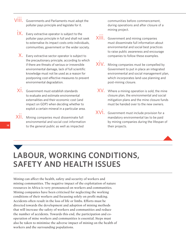- viii. Governments and Parliaments must adopt the polluter pays principle and legislate for it.
	- $\overline{\mathsf{i}}$ X. Every extractive operator is subject to the polluter pays principle in full and shall not seek to externalise its impact costs onto individuals, communities, government or the wider society.
	- $X$ . Every extractive sector operator is subject to the precautionary principle, according to which if there are threats of serious or irreversible environmental damage, lack of full scientific knowledge must not be used as a reason for postponing cost-effective measures to prevent environmental degradation.
	- $\overline{X}$ . Government must establish standards to evaluate and estimate environmental externalities and their economic cost (and impact on GDP) when deciding whether to exploit a certain mineral in a particular area.
- $XIII.$  Mining companies must disseminate full environmental and social cost information to the general public as well as impacted

communities before commencement, during operations and after closure of a mining project.

- xiii. Government and mining companies must disseminate full information about environmental and social best practices to raise public awareness and encourage companies to follow these examples.
- xiv. Mining companies must be compelled by Government to put in place an integrated environmental and social management plan, which incorporates land-use planning and post-mining closure.
- $XV$ . Where a mining operation is sold, the mine closure plan, the environmental and social mitigation plans and the mine closure funds must be handed over to the new owners.
- $XV$  . Government must include provision for a mandatory environmental tax to be paid by mining companies during the lifespan of their projects.

### **LABOUR, WORKING CONDITIONS, SAFETY AND HEALTH ISSUES**

Mining can affect the health, safety and security of workers and mining communities. The negative impact of the exploitation of nature resources in Africa is very pronounced on workers and communities. Mining companies have been criticised for neglecting the working conditions of their workers and focussing solely on profit making. Accidents often result in the loss of life or limbs. Efforts must be directed towards the development and adoption of mining methods that will increase the safety of workers and communities and reduce the number of accidents. Towards this end, the participation and cooperation of mine workers and communities is essential. Steps must also be taken to minimise the adverse impact of mining on the health of workers and the surrounding populations.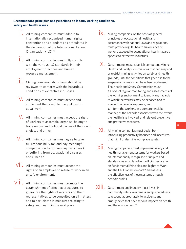#### **Recommended principles and guidelines on labour, working conditions, safety and health issues**

- i. All mining companies must adhere to internationally recognised human rights conventions and standards as articulated in the declaration of the International Labour Organisation (ILO).**<sup>17</sup>**
- $\prod_{n=1}^{n}$  All mining companies must fully comply with the various ILO standards in their employment practices and human resource management.
- **iii**. Mining company labour laws should be reviewed to conform with the hazardous conditions of extractive industries.
- iv. All mining companies must accept and implement the principle of equal pay for equal work.
- $V$ . All mining companies must accept the right of workers to assemble, organise, belong to trade unions and political parties of their own choice, and strike.
- $\overline{\text{V}}$ . All mining companies must agree to take full responsibility for, and pay meaningful compensation to, workers injured at work or suffering from occupational diseases and ill health.
- $V\ddot{\mathbf{l}}\mathbf{l}$ . All mining companies must accept the rights of an employee to refuse to work in an unsafe environment.
- VIII. All mining companies must promote the establishment of effective procedures to guarantee the rights of workers and their representatives to be consulted on all matters and to participate in measures relating to safety and health in the workplace.
- $\overline{\mathsf{i} \mathsf{X}}$ . Mining companies, on the basis of general principles of occupational health and in accordance with national laws and regulations, must provide regular health surveillance of workers exposed to occupational health hazards specific to extractive industries.
- x. Governments must establish competent Mining Health and Safety Commissions that can suspend or restrict mining activities on safety and health grounds, until the conditions that gave rise to the suspension or restriction have been addressed. The Health and Safety Commission must: **a.**Conduct regular monitoring and assessments of the working environment to identify any hazards to which the workers may be exposed and to assess their level of exposure; and **b.** Inform the workers, in a comprehensible manner, of the hazards associated with their work, the health risks involved, and relevant preventive and protective measures
- xi. All mining companies must desist from introducing productivity bonuses and incentives that might undermine workplace safety.
- $\overline{X}$ <sup>1</sup>. Mining companies must implement safety and health management systems for workers based on internationally recognised principles and standards as articulated in the ILO's Declaration on Fundamental Principles and Rights at Work and the UN Global Compact**18** and assess the effectiveness of these systems through periodic audits.
- xiii. Government and industry must invest in community safety, awareness and preparedness to respond appropriately to accidents and emergencies that have serious impacts on health and the environment.**<sup>19</sup>**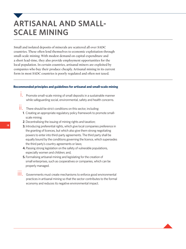### **ARTISANAL AND SMALL-SCALE MINING**

Small and isolated deposits of minerals are scattered all over SADC countries. These often lend themselves to economic exploitation through small-scale mining. With modest demand on capital expenditure and a short lead-time, they also provide employment opportunities for the local population. In certain countries, artisanal miners are exploited by companies who buy their produce cheaply. Artisanal mining in its current form in most SADC countries is poorly regulated and often not taxed.

#### **Recommended principles and guidelines for artisanal and small-scale mining**

- i. Promote small-scale mining of small deposits in a sustainable manner while safeguarding social, environmental, safety and health concerns.
- $\prod_{n=1}^{11}$  There should be strict conditions on this sector, including:
	- **1**. Creating an appropriate regulatory policy framework to promote smallscale mining;
	- **2**. Decentralising the issuing of mining rights and taxation;
	- **3.** Introducing preferential rights, which give local companies preference in the granting of licences, but which also give them strong negotiating powers to enter into third-party agreements. The third party shall be equally bound by the conditions governing the licence, which supersedes the third party's country agreements or laws;
	- **4.** Passing strong legislation on the safety of vulnerable populations, especially women and children; and,
	- **5.** Formalising artisanal mining and legislating for the creation of small enterprises, such as cooperatives or companies, which can be properly managed.
- ....<br>| | | | | Governments must create mechanisms to enforce good environmental practices in artisanal mining so that the sector contributes to the formal economy and reduces its negative environmental impact.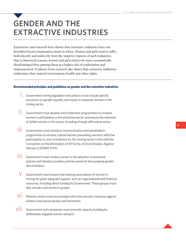### **GENDER AND THE EXTRACTIVE INDUSTRIES**

Experience and research have shown that extractive industries have not benefitted local communities much in Africa. Women and girls tend to suffer both directly and indirectly from the negative impacts of such industries. Due to historical reasons, women and girls tend to be more economically disadvantaged thus putting them at a higher risk of exploitation and underpayment. Evidence from research also shows that extractive industries undermine their natural environment, health and other rights.

#### **Recommended principles and guidelines on gender and the extractive industries**

- i. Government mining legislation and policies must include specific provisions on gender equality and equity to empower women in the mining sector.
- ...<br>II. Government must develop and implement programmes to increase women's participation in the extractive sector and ensure the retention of skilled women in the sector, including through affirmative action.
- ....<br>III. Government must introduce communication and sensitisation programmes to remove cultural barriers preventing women's effective participation in, and contribution to, the mining sector in line with the Convention on the Elimination of All Forms of Discrimination Against Women (CEDAW 1979).
- $\dot{I}V$ . Government must involve women in the adoption of extractive policies and introduce punitive policies aimed at discouraging gender discrimination.
- $\mathsf{V}.~$  Government must ensure that existing associations of women in mining are given adequate support, such as organisational and financial resources, including direct funding by Government. These groups must also include rural women's groups.
- $\overline{\text{V}}\text{i}$ . Women miners must be provided with extra security measures against violence and sexual abuses and harasment.
- $\overline{\text{V}}\dot{\text{H}}$  Government and companies must promote capacity building by deliberately targeted women and girls.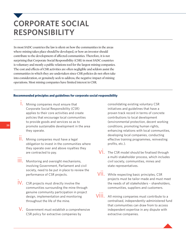### **CORPORATE SOCIAL RESPONSIBILITY**

In most SADC countries the law is silent on how the communities in the areas where mining takes place should be developed, or how an investor should contribute to the development of affected communities. Therefore, it is not surprising that Corporate Social Responsibility (CSR) in most SADC countries is voluntary and mostly a public relations tool for the largest mining companies. The cost and effects of CSR activities are often negligible and seldom assist the communities in which they are undertaken since CSR policies do not often take into consideration, or genuinely seek to address, the negative impact of mining operations. Most mining companies have limited interest in CSR.

#### **Recommended principles and guidelines for corporate social responsibility**

- i. Mining companies must ensure that Corporate Social Responsibility (CSR) applies to their core activities and create policies that encourage local communities to provide goods and services so as to promote sustainable development in the area they operate.
- **ii.** Mining companies must have a legal obligation to invest in the communities where they operate over and above royalties they are contracted to pay.
- ...<br>| | | | Monitoring and oversight mechanisms, involving Government, Parliament and civil society, need to be put in place to review the performance of CSR projects.
- iv. CSR projects must directly involve the communities surrounding the mine through genuine community participation in project design, implementation and monitoring throughout the life of the mine.
- v. Government must establish a comprehensive CSR policy for extractive companies by

consolidating existing voluntary CSR initiatives and guidelines that have a proven track record in terms of concrete contributions to local development (environmental protection, decent working conditions, promoting human rights, enhancing relations with local communities, developing local companies, conducting effective training programmes, reinvesting profits, etc.).

- $\overline{Vi}$ . The CSR model should be finalised through a multi-stakeholder process, which includes civil society, communities, mines and state representatives.
- VII. While respecting basic principles, CSR projects must be tailor-made and must meet the needs of all stakeholders – shareholders, communities, suppliers and customers.
- VIII. All mining companies must contribute to a centralised, independently-administered fund that communities can draw from to access independent expertise in any dispute with extractive companies.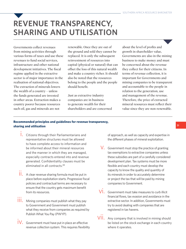### **REVENUE TRANSPARENCY, SHARING AND UTILISATION**

Governments collect revenues from mining activities through various forms of taxes and use these revenues to fund social services, infrastructure and other national development initiatives. The fiscal regime applied in the extractive sector is of major importance in the realisation of national objectives. The extraction of minerals lowers the wealth of a country – unless the funds generated are invested in other areas. Extraction makes a country poorer because resources such oil, gas and minerals are not

renewable. Once they are out of the ground and sold they cannot be replaced. It is only the subsequent reinvestment of resources into capital (physical or natural) that can offset the loss of this natural wealth and make a country richer. It should also be noted that the resources belong to the people and the people should benefit.

Just as extractive industry companies are in business to generate wealth for their shareholders and are concerned about the level of profits and growth in shareholder value, Governments are also in the mining business to make money and must be concerned about the revenue they collect for their citizens. In terms of revenue collection, it is important for Governments and mining companies to be transparent and accountable to the people in relation to the generation, use and management of the revenue. Therefore, the price of extracted mineral resources must reflect their value since they are non-renewable.

#### **Recommended principles and guidelines for revenue transparency, sharing and utilisation**

- i. Citizens through their Parliamentarians and representative structures must be allowed to have complete access to information and be informed about their mineral resources and the manner in which they are managed, especially contracts entered into and revenue generated. Confidentiality clauses must be eliminated in all contracts.**<sup>20</sup>**
- ii. A clear revenue sharing formula must be put in place before exploitation starts. Progressive fiscal policies and contractual terms are necessary to ensure that the country gets maximum benefit from its resources.
- ....<br>III. Mining companies must publish what they pay to Government and Government must publish what they receive from companies as required by Publish What You Pay (PWYP).
- iV. Government must have put in place an effective revenue collection system. This requires flexibility

of approach, as well as capacity and expertise in the different phases of mineral exploitation.

- V. Government must stop the practice of granting tax exemptions to extractive companies unless these subsidies are part of a carefully considered development plan. Tax systems must be more flexible and each country must develop the capacity to know the quality and quantity of its minerals in order to accurately determine or project the tax that will be paid by mining companies to Government.
- $\overline{\text{Vi}}$ . Government must take measures to curb illicit financial flows, tax evasion and avoidance in the extractive sector. In addition, Governments must try to avoid dealing with companies that are registered in tax havens.
- VII. Any company that is involved in mining should be listed on the stock exchange in each country where it operates.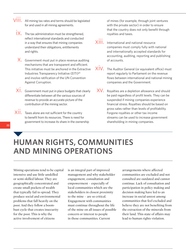- $\overline{VIII}$ . All mining tax rates and terms should be legislated for and used in all mining agreements.
	- $\dot{x}$ . The tax administration must be strengthened, reflect international standards and conducted in a way that ensures that mining companies understand their obligations, entitlements and rights.
	- $X$ . Government must put in place revenue auditing mechanisms that are transparent and efficient. This initiative must be anchored in the Extractive Industries Transparency Initiative (EITI)**<sup>21</sup>** and involve ratification of the UN Convention Against Corruption.
	- $\overline{\text{Xi}}$ . Government must put in place budgets that clearly differentiate between all the various sources of revenue to provide an accurate picture of the contribution of the mining sector.
- $\overline{XII}$ . Taxes alone are not sufficient for the country to benefit from its resources. There is need for government to increase its share in the ownership

of mines (for example, through joint ventures with the private sector) in order to ensure that the country does not only benefit through royalties and taxes.

- XIII. International and national resource companies must comply fully with national and internationally accepted standards for accounting, auditing, reporting and publishing of accounts.
- $XIV.$  The Auditor General (or equivalent office) must report regularly to Parliament on the revenue flows between international and national mining companies and the Government.
- $XV$ . Royalties are a depletion allowance and should be paid regardless of profit levels. They can be suspended if mining companies experience financial stress. Royalties should be based on gross sales rather than levels of profitability. Forgone royalties or other tax income streams can be used to increase government shareholding in mining companies.

### **HUMAN RIGHTS, COMMUNITIES AND MINING OPERATIONS**

Mining operations tend to be capital intensive and use little unskilled or semi-skilled labour. They are geographically concentrated and create small pockets of wealth that typically fail to spread. They produce social and environmental problems that fall heavily on the poor. And they follow a boombust cycle that creates insecurity for the poor. This is why the active involvement of citizens

is an integral part of improved management and why stakeholder engagement, consultation and empowerment – especially of local communities which are the stakeholders in closest proximity to the mine – are so critical. Engagement with communities must continue throughout the life of the mine on all issues of possible concern or interest to people in those communities. Current

arrangements where affected communities are excluded and not consulted are outdated and cannot continue. Lack of consultation and participation in policy making and decision making have led to an increase in social unrest among communities that feel excluded and believe they are not benefiting from the extraction of the minerals from their land. This state of affairs may lead to human rights violation.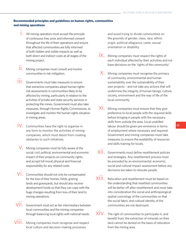#### **Recommended principles and guidelines on human rights, communities and mining operations**

- i. All mining operators must accept the principle of continuous free, prior and informed consent throughout the life of their operations and ensure that affected communities are fully informed of both hidden and visible impacts as well as both direct and indirect costs at all stages of the mining project.
- $\prod_{n=1}^{n}$  Mining companies must consult and involve communities in risk mitigation.
- ...<br>| | | | | Governments must take measures to ensure that extractive companies adopt human rights risk assessments in communities likely to be affected by mining, particularly in relation to the activities of private and state security services in protecting the mines. Government must also take measures, through Human Rights Commissions, to investigate and monitor the human rights situation in mining areas.
- iv. Communities have the right to organise in any form to monitor the activities of mining companies, which must desist from creating obstacles to such initiatives.
- $V$ . Mining companies must be fully aware of the social, civil, political, environmental and economic impact of their projects on community rights, and accept full moral, physical and financial responsibility for any related costs.
- $\overline{\text{V}}$  . Communities should not only be compensated for the loss of their homes, fields, grazing lands and graveyards, but should also receive development funds so that they can cope with the huge changes resulting from loss of their land to mining operations.
- vii. Government must act as fair intermediary between local communities and the mining companies through balancing local rights with national needs.
- viii. Mining companies must recognise and respect local culture and decision-making processes

and avoid trying to divide communities on the grounds of gender, class, race, ethnic origin, political allegiance, caste, sexual orientation or disability.

- iX. Mining companies must respect the rights of each individual affected by their activities and not base decisions on the 'rights of the community'.
- $X$ . Mining companies must recognise the primacy of community, environmental and human sustainability over the sustainability of their own projects – and not take any actions that will undermine the integrity of human beings, culture, society, environment and the way of life of the local community.
- $\overline{\chi}_1^i$ . Mining companies must ensure that they give preference to local people with the required skills before bringing in people with the necessary skills from outside the area. Local unskilled labour should be given pre-eminence in terms of employment where necessary and required. Government and mining companies must take measures to ensure the availability of resources and skills training for locals.
- xii. Governments must define resettlement policies and strategies. Any resettlement process must be preceded by an environmental, economic, social and cultural impact assessment before any decisions are taken to relocate people.
- xiii. Relocation and resettlement must be based on the understanding that resettled communities will be better off after resettlement and must take into consideration the social and anthropological spatial cosmology of the communities so that the social fabric and cultural identity of the communities are not destroyed.
- $\overline{X}$  V. The right of communities to participate in, and benefit from, the extraction of minerals on their land cannot be denied on the basis of relocation from the mining area.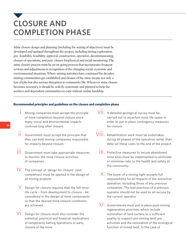### **CLOSURE AND COMPLETION PHASE**

Mine closure design and planning (including the setting of objectives) must be developed and updated throughout the project, including during exploration, pre feasibility, feasibility, approval, construction, operation, decommissioning, closure of operations, and post closure biophysical and social monitoring. The mine closure process must be an on-going process that incorporates frequent reviews and adjustments in recognition of the changing social, economic and environmental situations. Where mining activities have continued for decades, mining communities get established and closure of the mine means not only a loss of jobs but also serious disruption to community life. Whenever mine closure becomes necessary, it should be orderly, systematic and planned to help the workers and dependent communities to cope without undue hardship.

#### **Recommended principles and guidelines on the closure and completion phase**

- i. Mining companies must accept the principle of mine completion beyond closure since many social and environmental impacts continue long after closure.
- $\prod_{n=1}^{\infty}$  Government must accept the principle that they can hold mining companies responsible for impacts beyond closure.
- ....<br>| | | | Government must take appropriate measures to monitor the mine closure activities of companies.
- **iV.** The concept of 'design for closure' (and completion) must be applied in the design of all mining projects.
- $V$ . Design for closure requires that the full minelife cycle – from development to closure – be considered in the design of mine components so that the desired mine closure conditions are achieved.
- $\overline{\text{V}}$ . Design for closure must also consider the potential, practical and financial implications of temporarily halting operations or early closure of the mine.
- vii. A detailed geological survey must be carried out to ascertain mine life spans in order to put in place contingency measures for closure.
- viii. Rehabilitation work must be undertaken during all phases of the operation rather than defer all these costs to the end of the project.
	- iX. Protective measures to secure abandoned mine sites must be implemented to eliminate or minimise risks to the health and safety of the community.
	- $X$ . The buyer of a mining right accepts full responsibility for all impacts of the extractive operation, including those of any previous companies. The bad practices of a previous operator should not be used as an excuse by the current operator.
	- $\overline{\chi}$  . Governments must put in place post-mining regeneration priorities, which include restoration of land surface to a sufficient quality to support pre-mining land use activities and the restoration of the ecological function of mined land. In the case of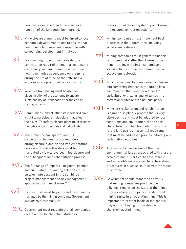previously-degraded land, the ecological function of the land must be improved.

- $\overline{\text{X}}$ **ii.** Mine closure planning must be linked to local economic development plans to ensure that post mining land uses are compatible with surrounding development initiatives.
- $\overline{\mathsf{XIII}}$ . Every mining project must consider the contribution required to create a sustainable community and environment on closure and how to minimise dependency on the mine during the life of mine so that alternative economies are promoted before closure.
- $\overrightarrow{XIV}$ . Revenues from mining must be used for diversification of the economy to ensure sustainability of livelihoods after the end of mining activities.
- $XV$ . Communities (and all other stakeholders) have a right to participate in decisions that affect their lives. Therefore, closure plans must respect the rights of communities and individuals.
- xvi. There must be transparent and full consultation between all stakeholders during closure planning and implementation processes. Local authorities must be mandated by law to oversee mine closure and the subsequent land rehabilitation process.
- $XVIII.$  The full range of impacts negative, positive and cumulative – of mining activities must be taken into account in the combined project management and risk management approaches to mine closure.**<sup>22</sup>**
- $XVIII$ . Closure funds must be jointly and transparently managed by the mining company, Government and affected communities.
	- $\overline{X}$ . Government must regulate that all companies create a fund for the rehabilitation or

restoration of the ecosystem upon closure of the resource extraction activity.

- XX. Mining companies must implement best practices in their operations, including ecosystem restoration.
- $XX\dot{l}$ , Mining companies must generate financial resources that – after the closure of the mine – are invested into economic and social activities for local communities, and ecosystem restoration.
- $XXIII$ . Mining sites must be transformed at closure into something that can contribute to local communities, that is, either restored to agricultural or grazing land, or turned into recreational sites or even national parks.
- $XXIII$ . Mine site reclamation and rehabilitation is a multidisciplinary process that is very site-specific and must be adapted to local conditions and environmental and social characteristics. The clear definition of the future land use is an essential requirement that must be addressed prior to initiating any reclamation activities.
- $XXIV.$  Acid mine drainage is one of the main environmental issues associated with closure activities and it is critical to have reliable and accessible mine waste characterization procedures in place so as to correctly predict this problem.
- XXV. Government should mandate and verify that mining companies produce due diligence reports on the state of the mines in cases where a company intends to sell mining rights in an operating mine. This is important to prevent locals or indigenous players from buying or investing in shells/exhausted mines.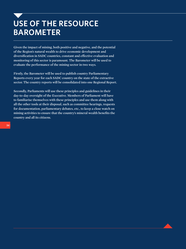### **USE OF THE RESOURCE BAROMETER**

**Given the impact of mining, both positive and negative, and the potential of the Region's natural wealth to drive economic development and diversification in SADC countries, constant and effective evaluation and monitoring of this sector is paramount. The Barometer will be used to evaluate the performance of the mining sector in two ways.**

**Firstly, the Barometer will be used to publish country Parliamentary Reports every year for each SADC country on the state of the extractive sector. The country reports will be consolidated into one Regional Report.**

**Secondly, Parliaments will use these principles and guidelines in their day-to-day oversight of the Executive. Members of Parliament will have to familiarise themselves with these principles and use them along with all the other tools at their disposal, such as committee hearings, requests for documentation, parliamentary debates, etc., to keep a close watch on mining activities to ensure that the country's mineral wealth benefits the country and all its citizens.**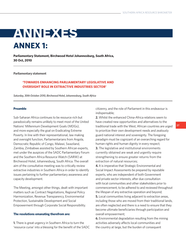### **ANNEXES ANNEX 1:**

**Parliamentary Statement, Birchwood Hotel Johannesburg, South Africa, 30 Oct, 2010**

**Parliamentary statement**

#### **'TOWARDS ENHANCING PARLIAMENTARY LEGISLATIVE AND OVERSIGHT ROLE IN EXTRACTIVE INDUSTRIES SECTOR'**

*Saturday, 30th October 2010, Birchwood Hotel, Johannesburg, South Africa*

#### **Preamble**

Sub-Saharan Africa continues to be resource rich but paradoxically remains unlikely to meet most of the United Nations' Millennium Development Goals (MDGs), and more especially the goal on Eradicating Extreme Poverty. In line with their representational, law making and oversight function, Parliamentarians from Angola, Democratic Republic of Congo, Malawi, Swaziland, Zambia, Zimbabwe assisted by Southern African experts, met under the auspices of the SADC Parliamentary Forum and the Southern Africa Resource Watch (SARW) at Birchwood Hotel, Johannesburg, South Africa. The overall aim of the consultative meeting was to critically review extractive industries in Southern Africa in order to identify issues pertaining to further parliamentary awareness and capacity development.

The Meeting, amongst other things, dealt with important matters such as Contract Negotiations, Regional Policy Harmonization, Revenue Transparency, Environmental Protection, Sustainable Development and Social Empowerment through Corporate Social Responsibility.

#### **The resolutions emanating therefrom are:**

**1.** There is great urgency in Southern Africa to turn the 'resource curse' into a blessing for the benefit of the SADC citizenry, and the role of Parliament in this endeavour is indispensable;

**2.** Whilst the enhanced China-Africa relations seem to have created new opportunities and alternatives to the traditional trade with the West, African countries are urged to prioritize their own development needs and zealously guard national interest and sovereignty. The foregoing paradigm must be cognizant of an overarching regard for human rights and human dignity in every respect; **3.** The legislative and institutional environments currently obtained are weak and urgently require strengthening to ensure greater returns from the extraction of natural resources;

**4.** It is imperative that Strategic Environmental and Social Impact Assessments be prepared by reputable experts, who are independent of both Government and private sector interests, after due consultation with local communities and other stakeholders prior to commencement, to be adhered to and reviewed throughout the lifespan of any extractive operation and beyond; **5.** Local communities living adjacent to extraction areas, including those who are moved from their traditional lands, are often neglected and there is a need to ensure that they become ultimate beneficiaries through participation and overall empowerment;

**6.** Environmental degradation resulting from the mining activities adversely affects local communities and the country at large, but the burden of consequent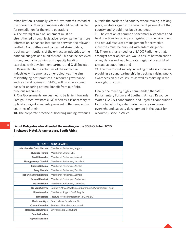rehabilitation is normally left to Governments instead of the operators. Mining companies should be held liable for remediation for the entire operation;

**7.** The oversight role of Parliament must be strengthened through legislative review, gathering more information, enhanced interaction between the relevant Portfolio Committees and concerned stakeholders, tracking contributions of the extractive industries to the national budgets and audit thereof. This can be achieved through requisite training and capacity building exercises with development partners and Civil Society;

**8.** Research into the activities of the extractive industries with, amongst other objectives, the aim of identifying best practices in resource governance such as fiscal regimes in SADC, will provide a sound basis for ensuring optimal benefit from our finite precious resources;

**9.** Our Governments are deemed to be lenient towards Foreign Direct Investors (FDI) whereas it is necessary to uphold stringent standards prevalent in their respective countries of origin;

**10.** The corporate practice of hoarding mining revenues

outside the borders of a country where mining is taking place, militates against the balance of payments of that country and should thus be discouraged;

**11.** The creation of common benchmarks/standards and best practices for policy and legislation on environment and natural resources management for extractive industries must be pursued with ardent diligence; **12.** There is thus a need for a SADC Parliament that, amongst other objectives, would ensure harmonization of legislation and lead to greater regional oversight of extractive operations; and

**13.** The role of civil society including media is crucial in providing a sound partnership in tracking, raising public awareness on critical issues as well as assisting in the oversight function.

Finally, the meeting highly commended the SADC Parliamentary Forum and Southern African Resource Watch (SARW) cooperation, and urged its continuation for the benefit of greater parliamentary awareness, oversight and capacity development in the quest for resource justice in Africa.

**List of Delegates who attended the meeting on the 30th October 2010, Birchwood Hotel, Johannesburg, South Africa**

| <b>DELEGATE</b>                | <b>ORGANISATION</b>                                       |  |
|--------------------------------|-----------------------------------------------------------|--|
| Madalena Da Costa Narciso      | Member of Parliament, Angola                              |  |
| <b>Musendu Flungu</b>          | Member of Senate, DRC                                     |  |
| David Kaweche                  | Member of Parliament, Malawi                              |  |
| <b>Ncengencenge Dlamini</b>    | Member of Parliament, Swaziland                           |  |
| <b>Charles Kakoma</b>          | Member of Parliament, Zambia                              |  |
| <b>Percy Chanda</b>            | Member of Parliament, Zambia                              |  |
| <b>Robert Kenneth Sichinga</b> | Member of Parliament, Zambia                              |  |
| <b>Edward Chindori</b>         | Member of Parliament, Zimbabwe                            |  |
| <b>Maxwell Dube</b>            | Member of Parliament, Zimbabwe                            |  |
| Dr. Esau Chiviya               | Southern Africa Development Community Parliamentary Forum |  |
| Lidia Alexandre                | Member of Support Staff, Angola                           |  |
| <b>Rafig Hajat</b>             | Institute for Policy Interaction (IPI), Malawi            |  |
| David van Wyk                  | Bench Marks Foundation, SA                                |  |
| Claude Kabemba                 | Southern Africa Resource Watch                            |  |
| <b>Masego Madzwamuse</b>       | Environmental Consultant                                  |  |
| <b>Dennis Gondwe</b>           |                                                           |  |
| <b>Raphael Karuaihe</b>        |                                                           |  |
|                                |                                                           |  |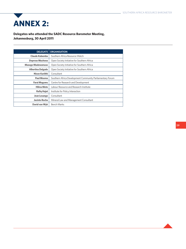# **ANNEX 2:**

**Delegates who attended the SADC Resource Barometer Meeting, Johannesburg, 30 April 2011**

| <b>DELEGATE</b>          | <b>ORGANISATION</b>                                       |
|--------------------------|-----------------------------------------------------------|
| Claude Kabemba           | Southern Africa Resource Watch                            |
| <b>Deprose Muchena</b>   | Open Society Initiative for Southern Africa               |
| <b>Masego Madzwamuse</b> | Open Society Initiative for Southern Africa               |
| <b>Albertina Delgado</b> | Open Society Initiative for Southern Africa               |
| Nixon Kariithi           | Consultant                                                |
| Paul Msoma               | Southern Africa Development Community Parliamentary Forum |
| Farai Maguwu             | Centre for Research and Development                       |
| <b>Hilma Mote</b>        | Labour Resource and Research Institute                    |
| <b>Rafiq Hajat</b>       | Institute for Policy Interaction                          |
| Jean Losango             | Consultant                                                |
| Jacinto Rocha            | Mineral Law and Management Consultant                     |
| David van Wyk            | <b>Bench Marks</b>                                        |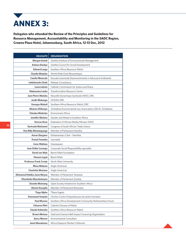

**Delegates who attended the Review of the Principles and Guidelines for Resource Management, Accountability and Monitoring in the SADC Region, Crowne Plaza Hotel, Johannesburg, South Africa, 12-13 Dec, 2012**

| <b>DELEGATE</b>               | <b>ORGANISATION</b>                                       |
|-------------------------------|-----------------------------------------------------------|
| Morgan Katati                 | Zambia Institute of Environmental Management              |
| Kabaso Bwalya                 | Zambia Council for Social Development                     |
| <b>Edward Lange</b>           | Southern Africa Resource Watch                            |
| <b>Claudia Manjate</b>        | World Wide Fund Mozambique                                |
| <b>Camilo Nhancale</b>        | Kuwuka Juventude Desenvolvimento e Advocacia Ambiental    |
| Lehlohonolo Chefa             | Melupe Consultancy                                        |
| Lucia Leboto                  | Catholic Commission for Justice and Peace                 |
| Mabusetsa Lenka               | <b>Transformation Resource Centre</b>                     |
| <b>Jean Pierre Muteba</b>     | Nouvelle Dynamique Syndicale (NDS), DRC                   |
| <b>Joelle Mukungu</b>         | OCEAN, DRC                                                |
| <b>Georges Mukuli</b>         | Southern Africa Resource Watch, DRC                       |
| <b>Mutuso Dhliwayo</b>        | Zimbabwe Environmental Law Association (ZELA), Zimbabwe   |
| Chiedza Matimba               | <b>Environment Africa</b>                                 |
| <b>Jennifer Mufune</b>        | Gender and Media in Southern Africa                       |
| <b>Dorcas Hove</b>            | Federation of African Media Women-SADC                    |
| Gertrude Mutsweni             | Congress of South African Trade Unions                    |
| <b>Hon Billy Mwaningange</b>  | Member of Parliament Namibia                              |
| <b>Aaron Slargwer</b>         | Parliamentary Clerk - Namibia                             |
| <b>Franck Fwamba</b>          | Journalist                                                |
| <b>Irene Wabiwa</b>           | Greenpeace                                                |
| <b>Jean Didier Losango</b>    | Corporate Social Responsibility specialist                |
| David van Wyk                 | <b>Bench Mark Foundation</b>                              |
| <b>Hassen Logat</b>           | <b>Bench Mark</b>                                         |
| <b>Professor Freek Cronje</b> | North West University                                     |
| <b>Mosa Mabuza</b>            | Anglo American                                            |
| <b>Charlotte Mosiane</b>      | Anglo American                                            |
| Mohamed Habibu Juma Mnyaa     | Member of Parliament Tanzania                             |
| Situmbeko Musokotwane         | Member of Parliament Zambia                               |
| <b>Sisonke Msimang</b>        | Open Society Initiative for Southern Africa               |
| <b>Abram Kesupile</b>         | Member of Parliament Botswana                             |
| <b>Tiego Mpho</b>             | <b>Tlhare Segolo</b>                                      |
| <b>Emmanuel Umpula</b>        | L'Action Contre l'Impunité pour les droits Humains        |
| <b>Paul Msoma</b>             | Southern Africa Development Community Parliamentary Forum |
| <b>Chisomo Phiri</b>          | Catholic Diocese of Ndola                                 |
| <b>Claude Kabemba</b>         | Southern Africa Resource Watch                            |
| <b>Brown Motsau</b>           | Gold and Uranium Belt Impact Censoring Organisation       |
| <b>Barry Nkomo</b>            | <b>Environmental Consultant</b>                           |
| <b>Janet Munakame</b>         | Africa Diaspora Worker's Network                          |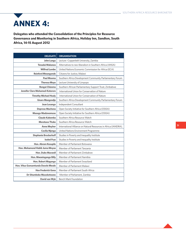## **ANNEX 4:**

**Delegates who attended the Consolidation of the Principles for Resource Governance and Monitoring in Southern Africa, Holiday Inn, Sandton, South Africa, 14-15 August 2012**

| <b>DELEGATE</b>                        | <b>ORGANISATION</b>                                             |
|----------------------------------------|-----------------------------------------------------------------|
| John Lungu                             | Lecture - Copperbelt University, Zambia                         |
| Tenadai Makanza                        | Alternatives to neo-liberalism in Southern Africa (ANSA)        |
| <b>Wilfred Lombe</b>                   | United Nations Economic Commission for Africa (ECA)             |
| <b>Reinford Mwangonde</b>              | Citizens for Justice, Malawi                                    |
| <b>Paul Msoma</b>                      | Southern Africa Development Community Parliamentary Forum       |
| <b>Theresa Moyo</b>                    | Lecture University of Limpopo                                   |
| Rongai Chizema                         | Southern African Parliamentary Support Trust, Zimbabwe          |
| <b>Jennifer Clare Mohamed-Katerere</b> | International Union for Conservation of Nature                  |
| <b>Timothy Michael Healy</b>           | International Union for Conservation of Nature                  |
| <b>Unaro Mungendje</b>                 | Southern Africa Development Community Parliamentary Forum       |
| Jean Losango                           | Independent Consultant                                          |
| Deprose Muchena                        | Open Society Initiative for Southern Africa (OSISA)             |
| <b>Masego Madzwamuse</b>               | Open Society Initiative for Southern Africa (OSISA)             |
| Claude Kabemba                         | Southern Africa Resource Watch                                  |
| <b>Moratuoa Thoke</b>                  | Southern Africa Resource Watch                                  |
| <b>Anne Meyher</b>                     | International Alliance on Natural Resources in Africa (IANDRA), |
| <b>Cecilia Njenga</b>                  | United Nations Environment Programme                            |
| <b>Stephanie Brockerhoff</b>           | Studies in Poverty and Inequality Institute                     |
| <b>Isobel Frye</b>                     | Studies in Poverty and Inequality Institute                     |
| <b>Hon. Abram Kesupile</b>             | Member of Parliament Botswana                                   |
| Hon. Mohamend Habib Juma Mnyaa         | Member of Parliament Tanzania                                   |
| <b>Hon. Dube Maxwell</b>               | Member of Parliament Zimbabwe                                   |
| <b>Hon. Mwaningange Billy</b>          | Member of Parliament Namibia                                    |
| <b>Hon. Robert Magongo</b>             | Member of Parliament Swaziland                                  |
| Hon. Vitus Gomamtunda Dzoole Mwale     | Member of Parliament Malawi                                     |
| <b>Hon Frederick Gona</b>              | Member of Parliament South Africa                               |
| Dr Situmbeko Musokotwane               | Member of Parliament, Zambia                                    |
| David van Wyk                          | <b>Bench Mark Foundation</b>                                    |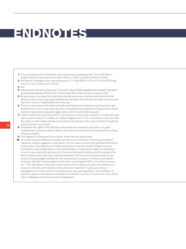# **ENDNOTES**

- **1** The cumulated profits of the three main extractives corporations (Rio Tinto, BHP Billiton, Anglo American) increased from US\$4.3 billion in 2002 to US\$26.9 billion in 2006.
- **2** Permanent Sovereignty over natural resources, G. A. Res.1803 (XVII),art.1,17UN.GAOR Supp. (No.17) at 15,U.N.Doc.A/5217(1962)
- **3** Ibid
- **4** International Covenant on Economic, Social and Cultural Rights, adopted and opened for signature, General Assembly Res.2200A (XXI), 16 December 1966, entry into force 3 January 1976
- **5** By governance, we mean the interactions among structures, processes and traditions that determine how power and responsibilities are exercised, how decision are taken and executed and how citizens or stakeholders have their say.
- **6** The laws must ensure that there are harsh punishments for companies and individuals who decide to be on the wrong side of the law. Companies that are granted mining licences should meet all requirements, especially legal, safety and environmental standards.
- **7** Under common law (and most SADC countries are common law countries), only persons who have a direct interest in a matter can institute litigation on it. This is premised on the view that the public or other bodies should not be allowed to champion the cause of others through the judicial process, locus standi.
- **8** Sometimes the rights of the affected communities are violated by the state or by giant multinational companies where matters often become too technical or expensive for ordinary citizens to handle.
- **9** This happens in Ghana and Sierra Leone, where they are made public.
- **10** Some Key Features: Retention of public servants is a critical issue in building institutional capacities. Several suggestions (see above) can be made to ensure that qualified staff remain in their posts. Financing of such reinforcement must come from public budget to ensure transparency and independence of the Administration. Financing principles can be devised so as to ensure that sufficient amount of funds are allocated to allow smooth running of the Administration and financing of needed investment. Performance evaluation systems can be set up linking budget available for the reinforcement schemes to mineral commodities revenues collected (in percentage of total export, percentage of GDP, of countries revenues etc.). This will require continuous reinforcement of the capacity of public administrators to ensure an effective administration of the extractive industries, in particular revenue management and enforcement of mining policies, laws and regulations. The availability of domestic capacity and expertise will determine whether a country can overcome many of the other challenges involved in resource management.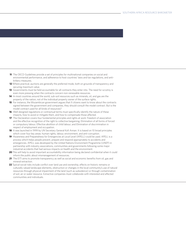- **11** The OECD Guidelines provide a set of principles for multinational companies on social and environmental performance, and adherence to host countries' laws and tax regulations, and anti bribery measures.
- **12** Where practical, auctions are generally the preferred mode, both on grounds of transparency and securing maximum value.
- 13 Governments must be held accountable for all contracts they enter into. The need for scrutiny is even more pressing when the contracts concern non-renewable resources.
- **14** In most countries around the world, sub-soil resources such as minerals, oil, and gas are the property of the nation, not of the individual property owner of the surface rights.
- **15** For instance, the Mozambican government argues that if citizens want to know about the contracts signed between the government and companies, they should consult the model contract. But is the model contract used for all kinds of resources?
- **16** Well designed regulations or contractual terms must specifically identify the nature of these impacts, how to avoid or mitigate them, and how to compensate those affected.
- **17** The Declaration covers four fundamental principles and rights at work: Freedom of association and the effective recognition of the right to collective bargaining; Elimination of all forms of forced or compulsory labour; Effective abolition of child labour; and Elimination of discrimination in respect of employment and occupation.
- **18** It was launched in 1999 by UN Secretary General Kofi Annan. It is based on 10 broad principles which cover four key areas: human rights, labour, environment, and anti-corruption.
- **19** Awareness and Preparedness for Emergencies at Local Level (APELL) could be used. APELL is a process which helps people prevent, prepare and respond appropriately to accidents and emergencies. APELL was developed by the United Nations Environment Programme (UNEP) in partnership with industry associations, communities and governments following some major industrial accidents that had serious impacts on health and the environment.
- **20** This will help to avoid important accountability information being declared confidential when it could inform the public about mismanagement of resources.
- 21 The EITI aims to promote transparency as well as social and economic benefits from oil, gas and mineral extraction.
- **22** Typical social risks include conflict over land use and ownership, effects on historic remains or culturally valued landscape elements, obstruction or changes in the local community's use of natural resources through physical impairment of the land (such as subsidence) or through contamination of soil, air or water resource. Extractive companies must collaborate with interested and affected communities and individuals.